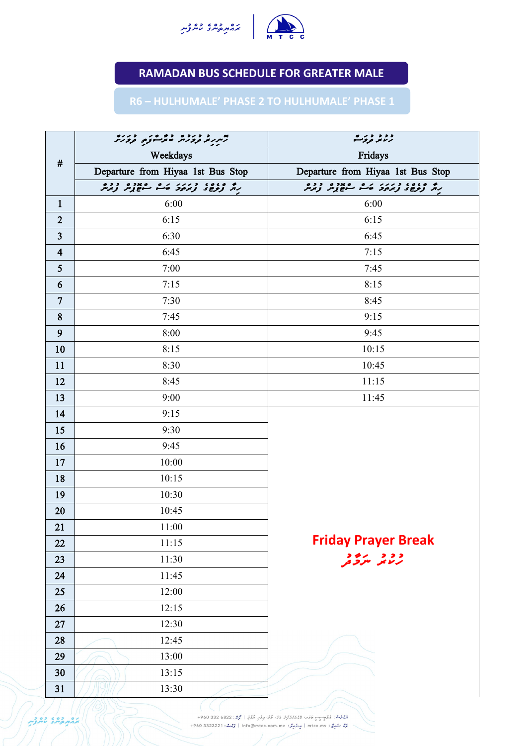|                 | بد د د دوه ده وره د دره<br>تهریر د ورس متر وزم د ورس |                                                                                                                                                                                             | د د د د ر ه<br>رسمه تروگ<br>Fridays<br>Departure from Hiyaa 1st Bus Stop |  |
|-----------------|------------------------------------------------------|---------------------------------------------------------------------------------------------------------------------------------------------------------------------------------------------|--------------------------------------------------------------------------|--|
| #               | Weekdays                                             |                                                                                                                                                                                             |                                                                          |  |
|                 | Departure from Hiyaa 1st Bus Stop                    |                                                                                                                                                                                             |                                                                          |  |
|                 |                                                      |                                                                                                                                                                                             | ره ده ده در در ده دره دره<br>برابر توج و ترمود قاسم سوچ ترس              |  |
| $\mathbf{1}$    | 6:00                                                 |                                                                                                                                                                                             | 6:00                                                                     |  |
| $\overline{2}$  | 6:15                                                 |                                                                                                                                                                                             | 6:15                                                                     |  |
| $\overline{3}$  | 6:30                                                 |                                                                                                                                                                                             | 6:45                                                                     |  |
| $\overline{4}$  | 6:45                                                 |                                                                                                                                                                                             | 7:15                                                                     |  |
| $5\overline{)}$ | 7:00                                                 |                                                                                                                                                                                             | 7:45                                                                     |  |
| 6               | 7:15                                                 |                                                                                                                                                                                             | 8:15                                                                     |  |
| $7\overline{ }$ | 7:30                                                 |                                                                                                                                                                                             | 8:45                                                                     |  |
| 8               | 7:45                                                 |                                                                                                                                                                                             | 9:15                                                                     |  |
| 9               | 8:00                                                 |                                                                                                                                                                                             | 9:45                                                                     |  |
| 10              | 8:15                                                 |                                                                                                                                                                                             | 10:15                                                                    |  |
| 11              | 8:30                                                 |                                                                                                                                                                                             | 10:45                                                                    |  |
| 12              | 8:45                                                 |                                                                                                                                                                                             | 11:15                                                                    |  |
| 13              | 9:00                                                 |                                                                                                                                                                                             | 11:45                                                                    |  |
| 14              | 9:15                                                 |                                                                                                                                                                                             |                                                                          |  |
| 15              | 9:30                                                 |                                                                                                                                                                                             |                                                                          |  |
| 16              | 9:45                                                 |                                                                                                                                                                                             |                                                                          |  |
| 17              | 10:00                                                |                                                                                                                                                                                             |                                                                          |  |
| 18              | 10:15                                                |                                                                                                                                                                                             |                                                                          |  |
| 19              | 10:30                                                |                                                                                                                                                                                             |                                                                          |  |
| 20              | 10:45                                                |                                                                                                                                                                                             |                                                                          |  |
| 21              | 11:00                                                |                                                                                                                                                                                             |                                                                          |  |
| 22              | 11:15                                                |                                                                                                                                                                                             | <b>Friday Prayer Break</b>                                               |  |
| 23              | 11:30                                                |                                                                                                                                                                                             | و و د مرد و د<br>مرکانگر مگرفتگی                                         |  |
| 24              | 11:45                                                |                                                                                                                                                                                             |                                                                          |  |
| 25              | 12:00                                                |                                                                                                                                                                                             |                                                                          |  |
| 26              | 12:15                                                |                                                                                                                                                                                             |                                                                          |  |
| 27              | 12:30                                                |                                                                                                                                                                                             |                                                                          |  |
| 28              | 12:45                                                |                                                                                                                                                                                             |                                                                          |  |
| 29              | 13:00                                                |                                                                                                                                                                                             |                                                                          |  |
| 30              | 13:15                                                |                                                                                                                                                                                             |                                                                          |  |
| 31              | 13:30                                                |                                                                                                                                                                                             |                                                                          |  |
| as cos os       |                                                      | مُؤْمِنٌ: مُرُوحٍ حَسِنٍ عَوَى الْمُدَرَّسِ وَمُنْ كُوْا مِرْقَرِ مُرْمَنٍ   مُرْتَزِ: 6822 682 960+<br>رُهُ سَهِعٌ : mtcc.mv   مٍ-وُمِرَّدٌ : info@mtcc.com.mv   رُحْتُ: 4960 3323221 +960 |                                                                          |  |



## **RAMADAN BUS SCHEDULE FOR GREATER MALE**

## **R6 – HULHUMALE' PHASE 2 TO HULHUMALE' PHASE 1**